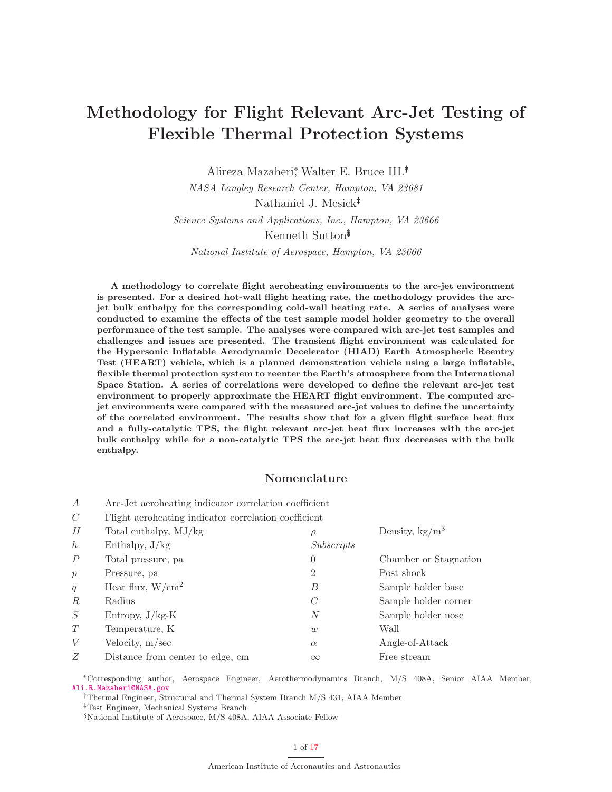# **Methodology for Flight Relevant Arc-Jet Testing of Flexible Thermal Protection Systems**

Alireza Mazaheri<sup>∗</sup> , Walter E. Bruce III.∗†

NASA Langley Research Center, Hampton, VA 23681

Nathaniel J. Mesick†‡

Science Systems and Applications, Inc., Hampton, VA 23666

Kenneth Sutton‡§

National Institute of Aerospace, Hampton, VA 23666

**A methodology to correlate flight aeroheating environments to the arc-jet environment is presented. For a desired hot-wall flight heating rate, the methodology provides the arcjet bulk enthalpy for the corresponding cold-wall heating rate. A series of analyses were conducted to examine the effects of the test sample model holder geometry to the overall performance of the test sample. The analyses were compared with arc-jet test samples and challenges and issues are presented. The transient flight environment was calculated for the Hypersonic Inflatable Aerodynamic Decelerator (HIAD) Earth Atmospheric Reentry Test (HEART) vehicle, which is a planned demonstration vehicle using a large inflatable, flexible thermal protection system to reenter the Earth's atmosphere from the International Space Station. A series of correlations were developed to define the relevant arc-jet test environment to properly approximate the HEART flight environment. The computed arcjet environments were compared with the measured arc-jet values to define the uncertainty of the correlated environment. The results show that for a given flight surface heat flux and a fully-catalytic TPS, the flight relevant arc-jet heat flux increases with the arc-jet bulk enthalpy while for a non-catalytic TPS the arc-jet heat flux decreases with the bulk enthalpy.**

# **Nomenclature**

| $\boldsymbol{A}$      | Arc-Jet aeroheating indicator correlation coefficient |                |                          |  |  |  |  |
|-----------------------|-------------------------------------------------------|----------------|--------------------------|--|--|--|--|
| $\mathcal{C}_{0}^{0}$ | Flight aeroheating indicator correlation coefficient  |                |                          |  |  |  |  |
| H                     | Total enthalpy, MJ/kg                                 | $\rho$         | Density, $\text{kg/m}^3$ |  |  |  |  |
| $\hbar$               | Enthalpy, $J/kg$                                      | Subscripts     |                          |  |  |  |  |
| $\boldsymbol{P}$      | Total pressure, pa                                    | 0              | Chamber or Stagnation    |  |  |  |  |
| $\boldsymbol{p}$      | Pressure, pa                                          | 2              | Post shock               |  |  |  |  |
| q                     | Heat flux, $W/cm^2$                                   | B              | Sample holder base       |  |  |  |  |
| $\,R$                 | Radius                                                | C              | Sample holder corner     |  |  |  |  |
| S                     | Entropy, $J/kg-K$                                     | $\overline{N}$ | Sample holder nose       |  |  |  |  |
| T                     | Temperature, K                                        | w              | Wall                     |  |  |  |  |
| V                     | Velocity, $m/sec$                                     | $\alpha$       | Angle-of-Attack          |  |  |  |  |
| Z                     | Distance from center to edge, cm                      | $\infty$       | Free stream              |  |  |  |  |
|                       |                                                       |                |                          |  |  |  |  |

∗Corresponding author, Aerospace Engineer, Aerothermodynamics Branch, M/S 408A, Senior AIAA Member,

†Thermal Engineer, Structural and Thermal System Branch M/S 431, AIAA Member

‡Test Engineer, Mechanical Systems Branch

<sup>§</sup>National Institute of Aerospace, M/S 408A, AIAA Associate Fellow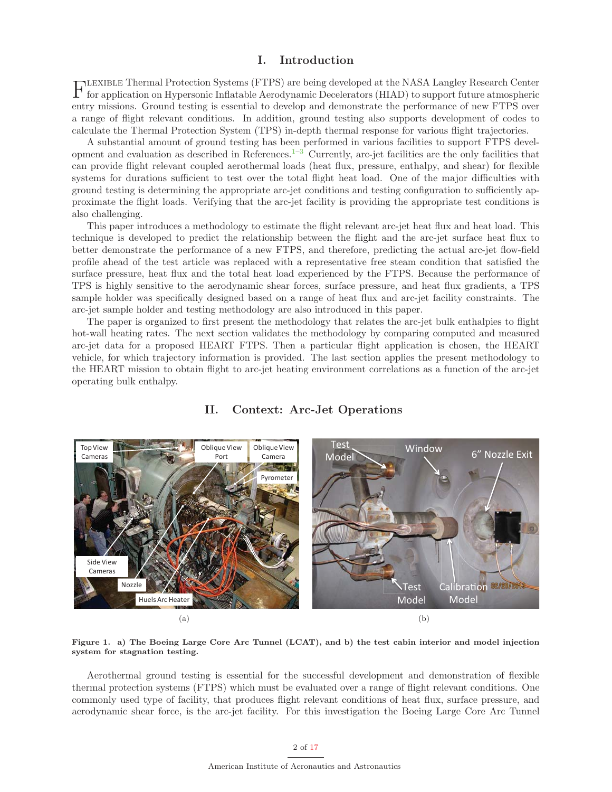# **I. Introduction**

Flexible Thermal Protection Systems (FTPS) are being developed at the NASA Langley Research Center for application on Hypersonic Inflatable Aerodynamic Decelerators (HIAD) to support future atmospheric entry missions. Ground testing is essential to develop and demonstrate the performance of new FTPS over a range of flight relevant conditions. In addition, ground testing also supports development of codes to calculate the Thermal Protection System (TPS) in-depth thermal response for various flight trajectories.

A substantial amount of ground testing has been performed in various facilities to support FTPS development and evaluation as described in References.<sup>1–3</sup> Currently, arc-jet facilities are the only facilities that can provide flight relevant coupled aerothermal loads (heat flux, pressure, enthalpy, and shear) for flexible systems for durations sufficient to test over the total flight heat load. One of the major difficulties with ground testing is determining the appropriate arc-jet conditions and testing configuration to sufficiently approximate the flight loads. Verifying that the arc-jet facility is providing the appropriate test conditions is also challenging.

This paper introduces a methodology to estimate the flight relevant arc-jet heat flux and heat load. This technique is developed to predict the relationship between the flight and the arc-jet surface heat flux to better demonstrate the performance of a new FTPS, and therefore, predicting the actual arc-jet flow-field profile ahead of the test article was replaced with a representative free steam condition that satisfied the surface pressure, heat flux and the total heat load experienced by the FTPS. Because the performance of TPS is highly sensitive to the aerodynamic shear forces, surface pressure, and heat flux gradients, a TPS sample holder was specifically designed based on a range of heat flux and arc-jet facility constraints. The arc-jet sample holder and testing methodology are also introduced in this paper.

The paper is organized to first present the methodology that relates the arc-jet bulk enthalpies to flight hot-wall heating rates. The next section validates the methodology by comparing computed and measured arc-jet data for a proposed HEART FTPS. Then a particular flight application is chosen, the HEART vehicle, for which trajectory information is provided. The last section applies the present methodology to the HEART mission to obtain flight to arc-jet heating environment correlations as a function of the arc-jet operating bulk enthalpy.



# **II. Context: Arc-Jet Operations**

**Figure 1. a) The Boeing Large Core Arc Tunnel (LCAT), and b) the test cabin interior and model injection system for stagnation testing.**

Aerothermal ground testing is essential for the successful development and demonstration of flexible thermal protection systems (FTPS) which must be evaluated over a range of flight relevant conditions. One commonly used type of facility, that produces flight relevant conditions of heat flux, surface pressure, and aerodynamic shear force, is the arc-jet facility. For this investigation the Boeing Large Core Arc Tunnel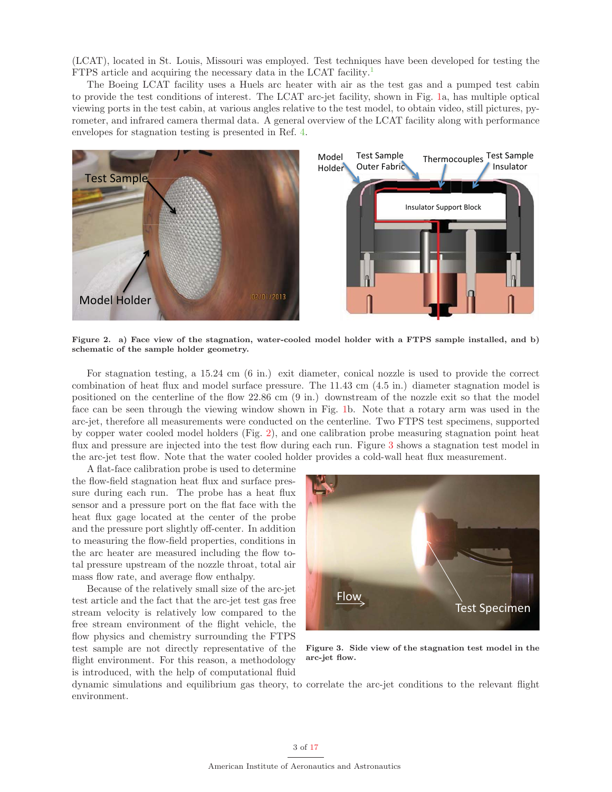(LCAT), located in St. Louis, Missouri was employed. Test techniques have been developed for testing the FTPS article and acquiring the necessary data in the LCAT facility.<sup>1</sup>

The Boeing LCAT facility uses a Huels arc heater with air as the test gas and a pumped test cabin to provide the test conditions of interest. The LCAT arc-jet facility, shown in Fig. 1a, has multiple optical viewing ports in the test cabin, at various angles relative to the test model, to obtain video, still pictures, pyrometer, and infrared camera thermal data. A general overview of the LCAT facility along with performance envelopes for stagnation testing is presented in Ref. 4.



**Figure 2. a) Face view of the stagnation, water-cooled model holder with a FTPS sample installed, and b) schematic of the sample holder geometry.**

For stagnation testing, a 15.24 cm (6 in.) exit diameter, conical nozzle is used to provide the correct combination of heat flux and model surface pressure. The 11.43 cm (4.5 in.) diameter stagnation model is positioned on the centerline of the flow 22.86 cm (9 in.) downstream of the nozzle exit so that the model face can be seen through the viewing window shown in Fig. 1b. Note that a rotary arm was used in the arc-jet, therefore all measurements were conducted on the centerline. Two FTPS test specimens, supported by copper water cooled model holders (Fig. 2), and one calibration probe measuring stagnation point heat flux and pressure are injected into the test flow during each run. Figure 3 shows a stagnation test model in the arc-jet test flow. Note that the water cooled holder provides a cold-wall heat flux measurement.

A flat-face calibration probe is used to determine the flow-field stagnation heat flux and surface pressure during each run. The probe has a heat flux sensor and a pressure port on the flat face with the heat flux gage located at the center of the probe and the pressure port slightly off-center. In addition to measuring the flow-field properties, conditions in the arc heater are measured including the flow total pressure upstream of the nozzle throat, total air mass flow rate, and average flow enthalpy.

Because of the relatively small size of the arc-jet test article and the fact that the arc-jet test gas free stream velocity is relatively low compared to the free stream environment of the flight vehicle, the flow physics and chemistry surrounding the FTPS test sample are not directly representative of the flight environment. For this reason, a methodology is introduced, with the help of computational fluid



**Figure 3. Side view of the stagnation test model in the arc-jet flow.**

dynamic simulations and equilibrium gas theory, to correlate the arc-jet conditions to the relevant flight environment.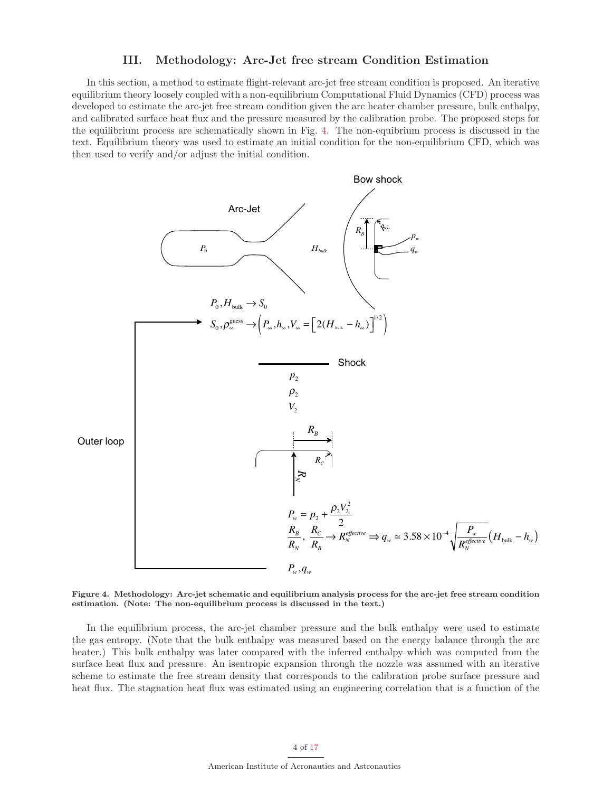### **III. Methodology: Arc-Jet free stream Condition Estimation**

In this section, a method to estimate flight-relevant arc-jet free stream condition is proposed. An iterative equilibrium theory loosely coupled with a non-equilibrium Computational Fluid Dynamics (CFD) process was developed to estimate the arc-jet free stream condition given the arc heater chamber pressure, bulk enthalpy, and calibrated surface heat flux and the pressure measured by the calibration probe. The proposed steps for the equilibrium process are schematically shown in Fig. 4. The non-equibrium process is discussed in the text. Equilibrium theory was used to estimate an initial condition for the non-equilibrium CFD, which was then used to verify and/or adjust the initial condition.



**Figure 4. Methodology: Arc-jet schematic and equilibrium analysis process for the arc-jet free stream condition estimation. (Note: The non-equilibrium process is discussed in the text.)**

In the equilibrium process, the arc-jet chamber pressure and the bulk enthalpy were used to estimate the gas entropy. (Note that the bulk enthalpy was measured based on the energy balance through the arc heater.) This bulk enthalpy was later compared with the inferred enthalpy which was computed from the surface heat flux and pressure. An isentropic expansion through the nozzle was assumed with an iterative scheme to estimate the free stream density that corresponds to the calibration probe surface pressure and heat flux. The stagnation heat flux was estimated using an engineering correlation that is a function of the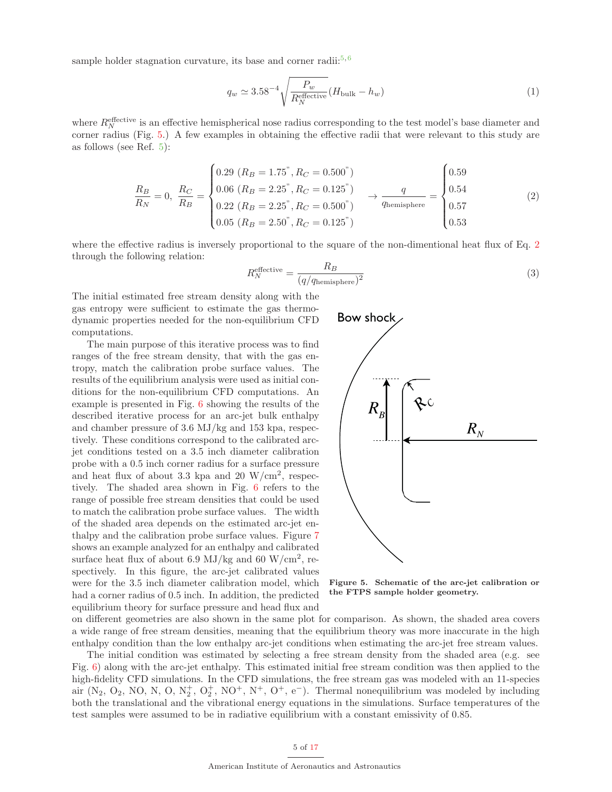sample holder stagnation curvature, its base and corner radii:<sup>5,6</sup>

$$
q_w \simeq 3.58^{-4} \sqrt{\frac{P_w}{R_N^{\text{effective}}}} (H_{\text{bulk}} - h_w)
$$
 (1)

where  $R_N^{\text{effective}}$  is an effective hemispherical nose radius corresponding to the test model's base diameter and corner radius (Fig. 5.) A few examples in obtaining the effective radii that were relevant to this study are as follows (see Ref. 5):

$$
\frac{R_B}{R_N} = 0, \ \frac{R_C}{R_B} = \begin{cases} 0.29 \ (R_B = 1.75^\circ, R_C = 0.500^\circ) \\ 0.06 \ (R_B = 2.25^\circ, R_C = 0.125^\circ) \\ 0.22 \ (R_B = 2.25^\circ, R_C = 0.500^\circ) \\ 0.05 \ (R_B = 2.50^\circ, R_C = 0.125^\circ) \end{cases} \rightarrow \frac{q}{q_{\text{hemisphere}}} = \begin{cases} 0.59 \\ 0.54 \\ 0.57 \\ 0.53 \end{cases} \tag{2}
$$

where the effective radius is inversely proportional to the square of the non-dimentional heat flux of Eq. 2 through the following relation:

$$
R_N^{\text{effective}} = \frac{R_B}{(q/q_{\text{hemisphere}})^2} \tag{3}
$$

The initial estimated free stream density along with the gas entropy were sufficient to estimate the gas thermodynamic properties needed for the non-equilibrium CFD computations.

The main purpose of this iterative process was to find ranges of the free stream density, that with the gas entropy, match the calibration probe surface values. The results of the equilibrium analysis were used as initial conditions for the non-equilibrium CFD computations. An example is presented in Fig. 6 showing the results of the described iterative process for an arc-jet bulk enthalpy and chamber pressure of 3.6 MJ/kg and 153 kpa, respectively. These conditions correspond to the calibrated arcjet conditions tested on a 3.5 inch diameter calibration probe with a 0.5 inch corner radius for a surface pressure and heat flux of about 3.3 kpa and 20  $\rm W/cm^2$ , respectively. The shaded area shown in Fig. 6 refers to the range of possible free stream densities that could be used to match the calibration probe surface values. The width of the shaded area depends on the estimated arc-jet enthalpy and the calibration probe surface values. Figure 7 shows an example analyzed for an enthalpy and calibrated surface heat flux of about 6.9 MJ/kg and 60 W/cm<sup>2</sup>, respectively. In this figure, the arc-jet calibrated values were for the 3.5 inch diameter calibration model, which had a corner radius of 0.5 inch. In addition, the predicted equilibrium theory for surface pressure and head flux and



**Figure 5. Schematic of the arc-jet calibration or the FTPS sample holder geometry.**

on different geometries are also shown in the same plot for comparison. As shown, the shaded area covers a wide range of free stream densities, meaning that the equilibrium theory was more inaccurate in the high enthalpy condition than the low enthalpy arc-jet conditions when estimating the arc-jet free stream values.

The initial condition was estimated by selecting a free stream density from the shaded area (e.g. see Fig. 6) along with the arc-jet enthalpy. This estimated initial free stream condition was then applied to the high-fidelity CFD simulations. In the CFD simulations, the free stream gas was modeled with an 11-species air  $(N_2, O_2, NO, N, O, N_2^+, O_2^+, NO^+, N^+, O^+, e^-)$ . Thermal nonequilibrium was modeled by including both the translational and the vibrational energy equations in the simulations. Surface temperatures of the test samples were assumed to be in radiative equilibrium with a constant emissivity of 0.85.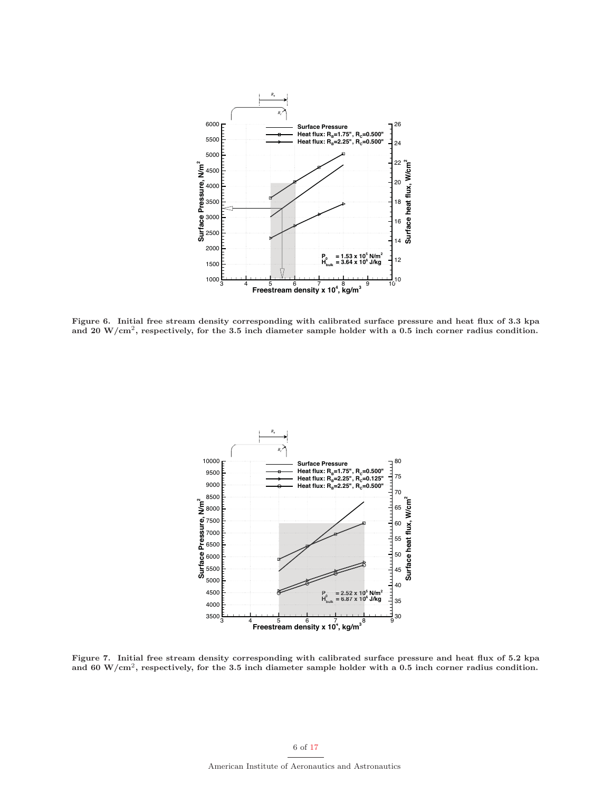

**Figure 6. Initial free stream density corresponding with calibrated surface pressure and heat flux of 3.3 kpa and 20 W/cm**2**, respectively, for the 3.5 inch diameter sample holder with a 0.5 inch corner radius condition.**



**Figure 7. Initial free stream density corresponding with calibrated surface pressure and heat flux of 5.2 kpa and 60 W/cm**2**, respectively, for the 3.5 inch diameter sample holder with a 0.5 inch corner radius condition.**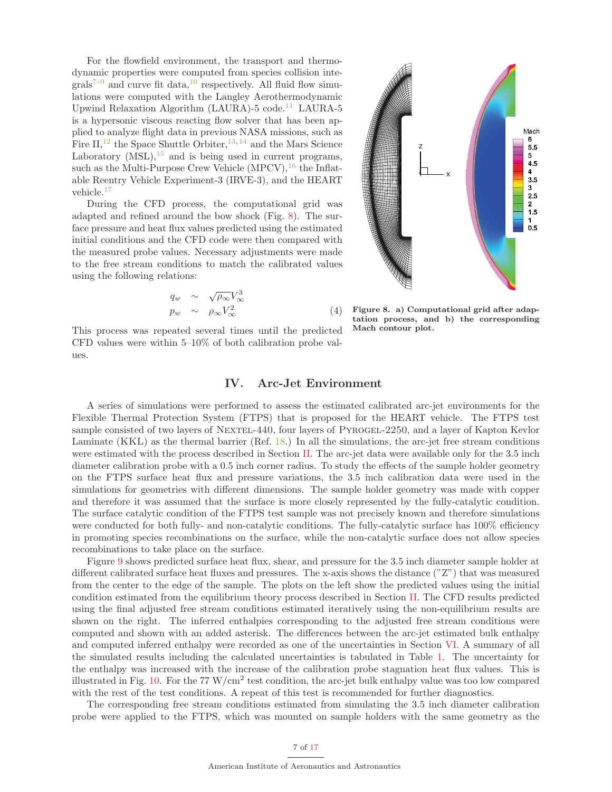For the flowfield environment, the transport and thermodynamic properties were computed from species collision inte $grals^{7-9}$  and curve fit data,<sup>10</sup> respectively. All fluid flow simulations were computed with the Langley Aerothermodynamic Upwind Relaxation Algorithm (LAURA)-5 code.<sup>11</sup> LAURA-5 is a hypersonic viscous reacting flow solver that has been applied to analyze flight data in previous NASA missions, such as Fire  $II$ ,<sup>12</sup> the Space Shuttle Orbiter,<sup>13,14</sup> and the Mars Science Laboratory  $(MSL)$ , <sup>15</sup> and is being used in current programs, such as the Multi-Purpose Crew Vehicle  $(MPCV),^{16}$  the Inflatable Reentry Vehicle Experiment-3 (IRVE-3), and the HEART vehicle.<sup>17</sup>

During the CFD process, the computational grid was adapted and refined around the bow shock (Fig. 8). The surface pressure and heat flux values predicted using the estimated initial conditions and the CFD code were then compared with the measured probe values. Necessary adjustments were made to the free stream conditions to match the calibrated values using the following relations:

$$
q_w \sim \sqrt{\rho_\infty} V_\infty^3
$$
  
\n
$$
p_w \sim \rho_\infty V_\infty^2
$$
 (4)

This process was repeated several times until the predicted CFD values were within 5–10% of both calibration probe values.



**Figure 8. a) Computational grid after adaptation process, and b) the corresponding Mach contour plot.**

### **IV. Arc-Jet Environment**

A series of simulations were performed to assess the estimated calibrated arc-jet environments for the Flexible Thermal Protection System (FTPS) that is proposed for the HEART vehicle. The FTPS test sample consisted of two layers of NEXTEL-440, four layers of PYROGEL-2250, and a layer of Kapton Kevlor Laminate (KKL) as the thermal barrier (Ref. 18.) In all the simulations, the arc-jet free stream conditions were estimated with the process described in Section II. The arc-jet data were available only for the 3.5 inch diameter calibration probe with a 0.5 inch corner radius. To study the effects of the sample holder geometry on the FTPS surface heat flux and pressure variations, the 3.5 inch calibration data were used in the simulations for geometries with different dimensions. The sample holder geometry was made with copper and therefore it was assumed that the surface is more closely represented by the fully-catalytic condition. The surface catalytic condition of the FTPS test sample was not precisely known and therefore simulations were conducted for both fully- and non-catalytic conditions. The fully-catalytic surface has  $100\%$  efficiency in promoting species recombinations on the surface, while the non-catalytic surface does not allow species recombinations to take place on the surface.

Figure 9 shows predicted surface heat flux, shear, and pressure for the 3.5 inch diameter sample holder at different calibrated surface heat fluxes and pressures. The x-axis shows the distance ("Z") that was measured from the center to the edge of the sample. The plots on the left show the predicted values using the initial condition estimated from the equilibrium theory process described in Section II. The CFD results predicted using the final adjusted free stream conditions estimated iteratively using the non-equilibrium results are shown on the right. The inferred enthalpies corresponding to the adjusted free stream conditions were computed and shown with an added asterisk. The differences between the arc-jet estimated bulk enthalpy and computed inferred enthalpy were recorded as one of the uncertainties in Section VI. A summary of all the simulated results including the calculated uncertainties is tabulated in Table 1. The uncertainty for the enthalpy was increased with the increase of the calibration probe stagnation heat flux values. This is illustrated in Fig. 10. For the 77  $W/cm^2$  test condition, the arc-jet bulk enthalpy value was too low compared with the rest of the test conditions. A repeat of this test is recommended for further diagnostics.

The corresponding free stream conditions estimated from simulating the 3.5 inch diameter calibration probe were applied to the FTPS, which was mounted on sample holders with the same geometry as the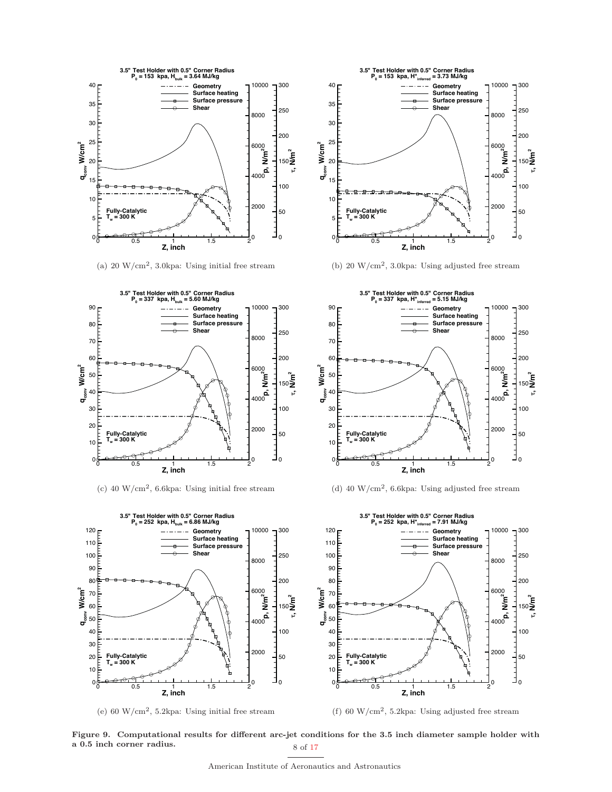

(a)  $20 \text{ W/cm}^2$ , 3.0kpa: Using initial free stream



(c) 40 W/cm<sup>2</sup>, 6.6kpa: Using initial free stream



(e)  $60 \text{ W/cm}^2$ , 5.2kpa: Using initial free stream



(b) 20  $\text{W/cm}^2$ , 3.0kpa: Using adjusted free stream



(d) 40 W/cm<sup>2</sup>, 6.6kpa: Using adjusted free stream



(f) 60 W/cm<sup>2</sup>, 5.2kpa: Using adjusted free stream

**Figure 9. Computational results for different arc-jet conditions for the 3.5 inch diameter sample holder with a 0.5 inch corner radius.** 8 of 17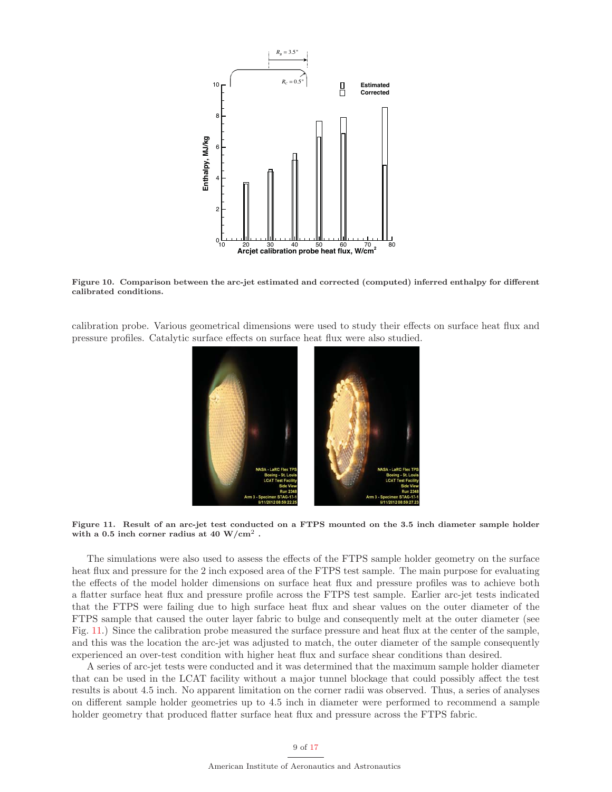

**Figure 10. Comparison between the arc-jet estimated and corrected (computed) inferred enthalpy for different calibrated conditions.**

calibration probe. Various geometrical dimensions were used to study their effects on surface heat flux and pressure profiles. Catalytic surface effects on surface heat flux were also studied.



**Figure 11. Result of an arc-jet test conducted on a FTPS mounted on the 3.5 inch diameter sample holder with a 0.5 inch corner radius at 40 W/cm**<sup>2</sup> **.**

The simulations were also used to assess the effects of the FTPS sample holder geometry on the surface heat flux and pressure for the 2 inch exposed area of the FTPS test sample. The main purpose for evaluating the effects of the model holder dimensions on surface heat flux and pressure profiles was to achieve both a flatter surface heat flux and pressure profile across the FTPS test sample. Earlier arc-jet tests indicated that the FTPS were failing due to high surface heat flux and shear values on the outer diameter of the FTPS sample that caused the outer layer fabric to bulge and consequently melt at the outer diameter (see Fig. 11.) Since the calibration probe measured the surface pressure and heat flux at the center of the sample, and this was the location the arc-jet was adjusted to match, the outer diameter of the sample consequently experienced an over-test condition with higher heat flux and surface shear conditions than desired.

A series of arc-jet tests were conducted and it was determined that the maximum sample holder diameter that can be used in the LCAT facility without a major tunnel blockage that could possibly affect the test results is about 4.5 inch. No apparent limitation on the corner radii was observed. Thus, a series of analyses on different sample holder geometries up to 4.5 inch in diameter were performed to recommend a sample holder geometry that produced flatter surface heat flux and pressure across the FTPS fabric.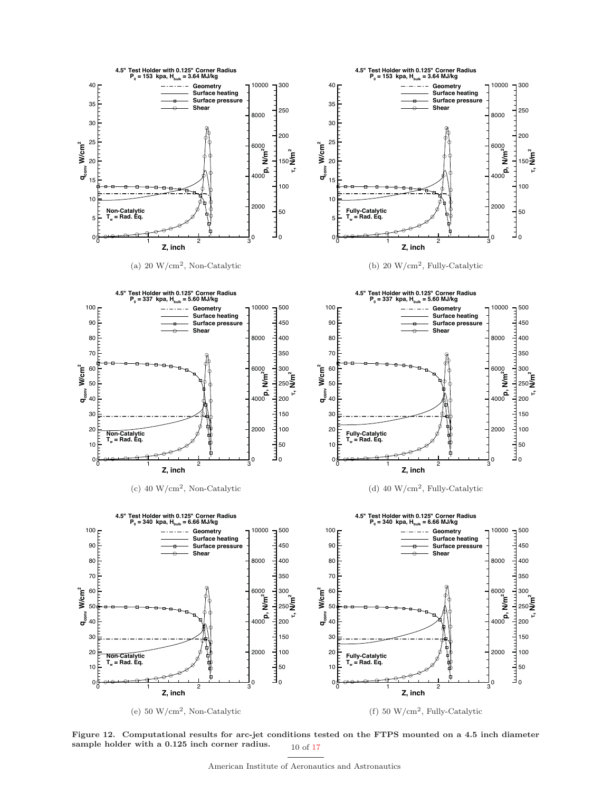

**Figure 12. Computational results for arc-jet conditions tested on the FTPS mounted on a 4.5 inch diameter** sample holder with a 0.125 inch corner radius. 10 of 17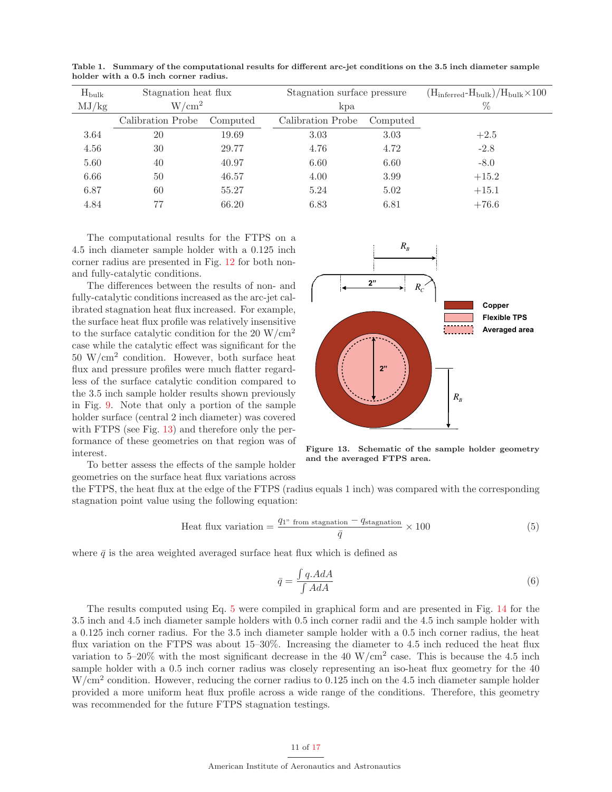| $H_{\text{bulk}}$ | Stagnation heat flux |          | Stagnation surface pressure |          | $(H_{\text{inferred}} - H_{\text{bulk}})/H_{\text{bulk}} \times 100$ |  |
|-------------------|----------------------|----------|-----------------------------|----------|----------------------------------------------------------------------|--|
| MJ/kg             | W/cm <sup>2</sup>    |          | kpa                         |          | $\%$                                                                 |  |
|                   | Calibration Probe    | Computed | Calibration Probe           | Computed |                                                                      |  |
| 3.64              | 20                   | 19.69    | 3.03                        | 3.03     | $+2.5$                                                               |  |
| 4.56              | 30                   | 29.77    | 4.76                        | 4.72     | $-2.8$                                                               |  |
| 5.60              | 40                   | 40.97    | 6.60                        | 6.60     | $-8.0$                                                               |  |
| 6.66              | 50                   | 46.57    | 4.00                        | 3.99     | $+15.2$                                                              |  |
| 6.87              | 60                   | 55.27    | 5.24                        | 5.02     | $+15.1$                                                              |  |
| 4.84              | 77                   | 66.20    | 6.83                        | 6.81     | $+76.6$                                                              |  |

**Table 1. Summary of the computational results for different arc-jet conditions on the 3.5 inch diameter sample holder with a 0.5 inch corner radius.**

The computational results for the FTPS on a 4.5 inch diameter sample holder with a 0.125 inch corner radius are presented in Fig. 12 for both nonand fully-catalytic conditions.

The differences between the results of non- and fully-catalytic conditions increased as the arc-jet calibrated stagnation heat flux increased. For example, the surface heat flux profile was relatively insensitive to the surface catalytic condition for the 20  $\rm W/cm^2$ case while the catalytic effect was significant for the 50 W/cm<sup>2</sup> condition. However, both surface heat flux and pressure profiles were much flatter regardless of the surface catalytic condition compared to the 3.5 inch sample holder results shown previously in Fig. 9. Note that only a portion of the sample holder surface (central 2 inch diameter) was covered with FTPS (see Fig. 13) and therefore only the performance of these geometries on that region was of interest.

To better assess the effects of the sample holder geometries on the surface heat flux variations across



 $R_B$ 

**2"**

 $R<sub>c</sub>$ 

**Copper Flexible TPS Averaged area**

**Figure 13. Schematic of the sample holder geometry and the averaged FTPS area.**

the FTPS, the heat flux at the edge of the FTPS (radius equals 1 inch) was compared with the corresponding stagnation point value using the following equation:

Heat flux variation = 
$$
\frac{q_{1}^{2} \text{ from stagnation} - q_{\text{stagnation}}}{\bar{q}} \times 100
$$
 (5)

where  $\bar{q}$  is the area weighted averaged surface heat flux which is defined as

$$
\bar{q} = \frac{\int q. A dA}{\int A dA} \tag{6}
$$

The results computed using Eq. 5 were compiled in graphical form and are presented in Fig. 14 for the 3.5 inch and 4.5 inch diameter sample holders with 0.5 inch corner radii and the 4.5 inch sample holder with a 0.125 inch corner radius. For the 3.5 inch diameter sample holder with a 0.5 inch corner radius, the heat flux variation on the FTPS was about 15–30%. Increasing the diameter to 4.5 inch reduced the heat flux variation to 5–20% with the most significant decrease in the 40  $\rm W/cm^2$  case. This is because the 4.5 inch sample holder with a 0.5 inch corner radius was closely representing an iso-heat flux geometry for the 40 W/cm<sup>2</sup> condition. However, reducing the corner radius to 0.125 inch on the 4.5 inch diameter sample holder provided a more uniform heat flux profile across a wide range of the conditions. Therefore, this geometry was recommended for the future FTPS stagnation testings.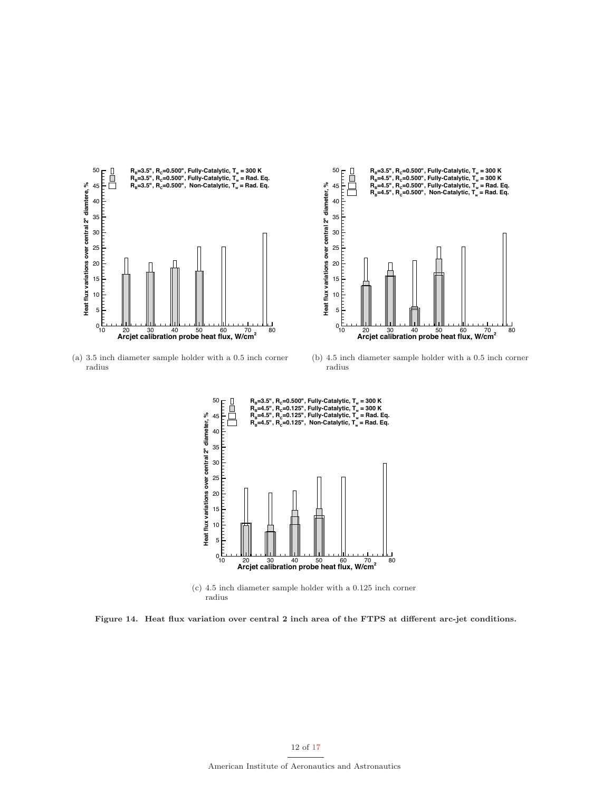



(a) 3.5 inch diameter sample holder with a 0.5 inch corner radius

(b) 4.5 inch diameter sample holder with a 0.5 inch corner radius



(c) 4.5 inch diameter sample holder with a 0.125 inch corner radius

**Figure 14. Heat flux variation over central 2 inch area of the FTPS at different arc-jet conditions.**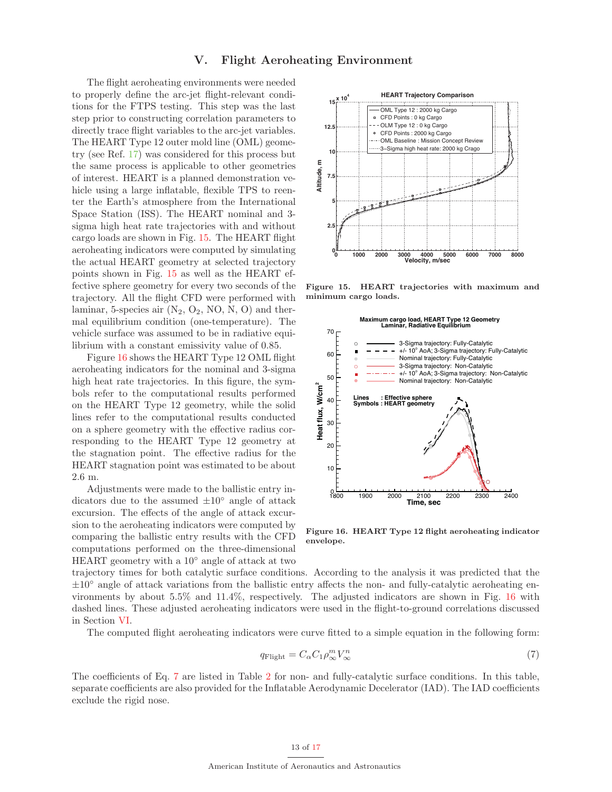## **V. Flight Aeroheating Environment**

The flight aeroheating environments were needed to properly define the arc-jet flight-relevant conditions for the FTPS testing. This step was the last step prior to constructing correlation parameters to directly trace flight variables to the arc-jet variables. The HEART Type 12 outer mold line (OML) geometry (see Ref. 17) was considered for this process but the same process is applicable to other geometries of interest. HEART is a planned demonstration vehicle using a large inflatable, flexible TPS to reenter the Earth's atmosphere from the International Space Station (ISS). The HEART nominal and 3 sigma high heat rate trajectories with and without cargo loads are shown in Fig. 15. The HEART flight aeroheating indicators were computed by simulating the actual HEART geometry at selected trajectory points shown in Fig. 15 as well as the HEART effective sphere geometry for every two seconds of the trajectory. All the flight CFD were performed with laminar, 5-species air  $(N_2, O_2, NO, N, O)$  and thermal equilibrium condition (one-temperature). The vehicle surface was assumed to be in radiative equilibrium with a constant emissivity value of 0.85.

Figure 16 shows the HEART Type 12 OML flight aeroheating indicators for the nominal and 3-sigma high heat rate trajectories. In this figure, the symbols refer to the computational results performed on the HEART Type 12 geometry, while the solid lines refer to the computational results conducted on a sphere geometry with the effective radius corresponding to the HEART Type 12 geometry at the stagnation point. The effective radius for the HEART stagnation point was estimated to be about 2.6 m.

Adjustments were made to the ballistic entry indicators due to the assumed  $\pm 10^\circ$  angle of attack excursion. The effects of the angle of attack excursion to the aeroheating indicators were computed by comparing the ballistic entry results with the CFD computations performed on the three-dimensional HEART geometry with a 10◦ angle of attack at two



**Figure 15. HEART trajectories with maximum and minimum cargo loads.**



**Figure 16. HEART Type 12 flight aeroheating indicator envelope.**

trajectory times for both catalytic surface conditions. According to the analysis it was predicted that the  $\pm 10^{\circ}$  angle of attack variations from the ballistic entry affects the non- and fully-catalytic aeroheating environments by about 5.5% and 11.4%, respectively. The adjusted indicators are shown in Fig. 16 with dashed lines. These adjusted aeroheating indicators were used in the flight-to-ground correlations discussed in Section VI.

The computed flight aeroheating indicators were curve fitted to a simple equation in the following form:

$$
q_{\text{Flight}} = C_{\alpha} C_1 \rho_{\infty}^m V_{\infty}^n \tag{7}
$$

The coefficients of Eq. 7 are listed in Table 2 for non- and fully-catalytic surface conditions. In this table, separate coefficients are also provided for the Inflatable Aerodynamic Decelerator (IAD). The IAD coefficients exclude the rigid nose.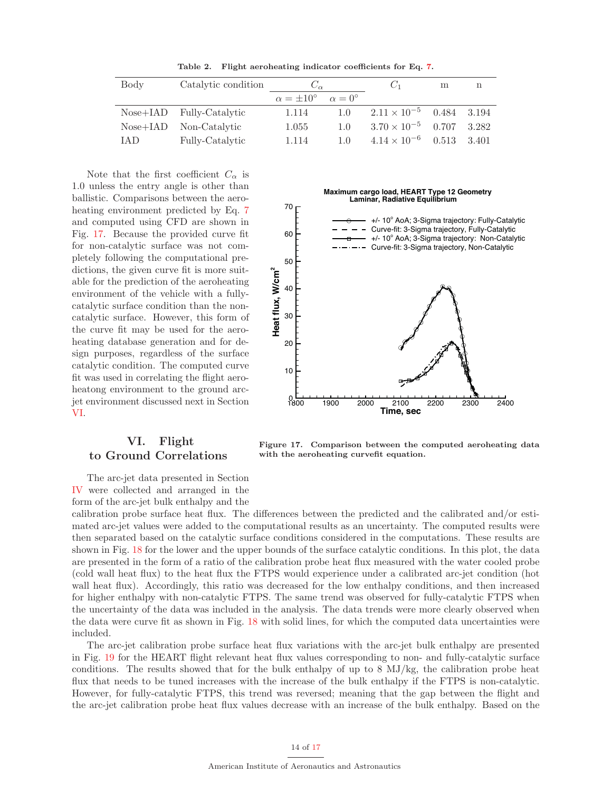**Table 2. Flight aeroheating indicator coefficients for Eq. 7.**

| Body | Catalytic condition      | $C_{\alpha}$                                   |                | $C_1$                             | m     | n     |
|------|--------------------------|------------------------------------------------|----------------|-----------------------------------|-------|-------|
|      |                          | $\alpha = \pm 10^{\circ}$ $\alpha = 0^{\circ}$ |                |                                   |       |       |
|      | Nose+IAD Fully-Catalytic | 1.114                                          | 1.0            | $2.11 \times 10^{-5}$ 0.484 3.194 |       |       |
|      | Nose+IAD Non-Catalytic   | 1.055                                          | 1.0            | $3.70 \times 10^{-5}$ 0.707       |       | 3.282 |
| IAD  | Fully-Catalytic          | 1.114                                          | 1 <sub>0</sub> | $4.14 \times 10^{-6}$             | 0.513 | 3.401 |

Note that the first coefficient  $C_{\alpha}$  is 1.0 unless the entry angle is other than ballistic. Comparisons between the aeroheating environment predicted by Eq. 7 and computed using CFD are shown in Fig. 17. Because the provided curve fit for non-catalytic surface was not completely following the computational predictions, the given curve fit is more suitable for the prediction of the aeroheating environment of the vehicle with a fullycatalytic surface condition than the noncatalytic surface. However, this form of the curve fit may be used for the aeroheating database generation and for design purposes, regardless of the surface catalytic condition. The computed curve fit was used in correlating the flight aeroheatong environment to the ground arcjet environment discussed next in Section VI.

#### **Maximum cargo load, HEART Type 12 Geometry Laminar, Radiative Equilibrium**



# **VI. Flight to Ground Correlations**

**Figure 17. Comparison between the computed aeroheating data with the aeroheating curvefit equation.**

The arc-jet data presented in Section IV were collected and arranged in the form of the arc-jet bulk enthalpy and the

calibration probe surface heat flux. The differences between the predicted and the calibrated and/or estimated arc-jet values were added to the computational results as an uncertainty. The computed results were then separated based on the catalytic surface conditions considered in the computations. These results are shown in Fig. 18 for the lower and the upper bounds of the surface catalytic conditions. In this plot, the data are presented in the form of a ratio of the calibration probe heat flux measured with the water cooled probe (cold wall heat flux) to the heat flux the FTPS would experience under a calibrated arc-jet condition (hot wall heat flux). Accordingly, this ratio was decreased for the low enthalpy conditions, and then increased for higher enthalpy with non-catalytic FTPS. The same trend was observed for fully-catalytic FTPS when the uncertainty of the data was included in the analysis. The data trends were more clearly observed when the data were curve fit as shown in Fig. 18 with solid lines, for which the computed data uncertainties were included.

The arc-jet calibration probe surface heat flux variations with the arc-jet bulk enthalpy are presented in Fig. 19 for the HEART flight relevant heat flux values corresponding to non- and fully-catalytic surface conditions. The results showed that for the bulk enthalpy of up to 8 MJ/kg, the calibration probe heat flux that needs to be tuned increases with the increase of the bulk enthalpy if the FTPS is non-catalytic. However, for fully-catalytic FTPS, this trend was reversed; meaning that the gap between the flight and the arc-jet calibration probe heat flux values decrease with an increase of the bulk enthalpy. Based on the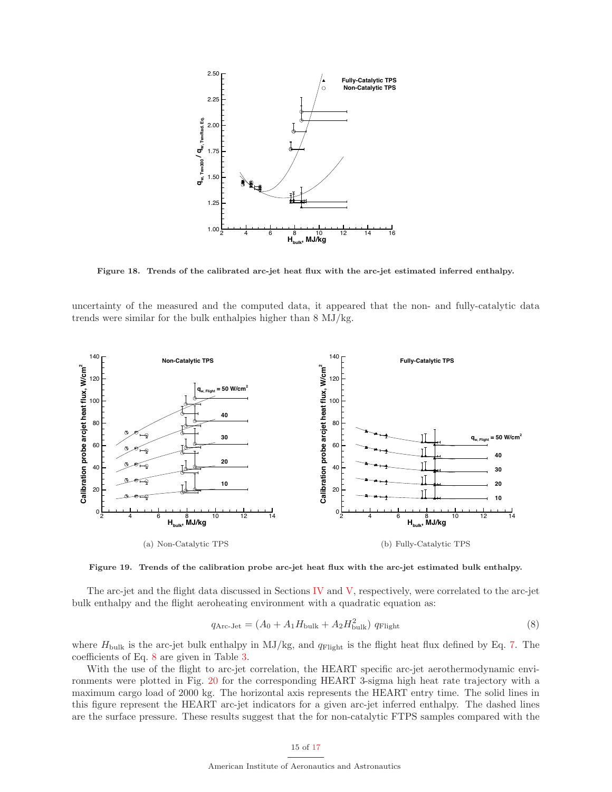

**Figure 18. Trends of the calibrated arc-jet heat flux with the arc-jet estimated inferred enthalpy.**

uncertainty of the measured and the computed data, it appeared that the non- and fully-catalytic data trends were similar for the bulk enthalpies higher than 8 MJ/kg.



**Figure 19. Trends of the calibration probe arc-jet heat flux with the arc-jet estimated bulk enthalpy.**

The arc-jet and the flight data discussed in Sections IV and V, respectively, were correlated to the arc-jet bulk enthalpy and the flight aeroheating environment with a quadratic equation as:

$$
q_{\text{Arc-Jet}} = (A_0 + A_1 H_{\text{bulk}} + A_2 H_{\text{bulk}}^2) q_{\text{Flight}} \tag{8}
$$

where  $H_{\text{bulk}}$  is the arc-jet bulk enthalpy in MJ/kg, and  $q_{\text{Flight}}$  is the flight heat flux defined by Eq. 7. The coefficients of Eq. 8 are given in Table 3.

With the use of the flight to arc-jet correlation, the HEART specific arc-jet aerothermodynamic environments were plotted in Fig. 20 for the corresponding HEART 3-sigma high heat rate trajectory with a maximum cargo load of 2000 kg. The horizontal axis represents the HEART entry time. The solid lines in this figure represent the HEART arc-jet indicators for a given arc-jet inferred enthalpy. The dashed lines are the surface pressure. These results suggest that the for non-catalytic FTPS samples compared with the

### 15 of 17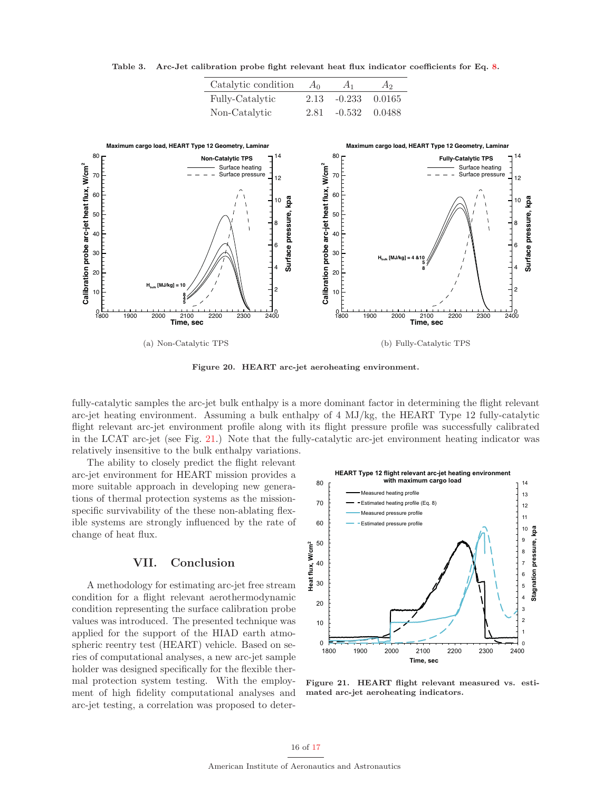

**Table 3. Arc-Jet calibration probe fight relevant heat flux indicator coefficients for Eq. 8.**

Catalytic condition  $A_0$   $A_1$   $A_2$ Fully-Catalytic 2.13 -0.233 0.0165

**Figure 20. HEART arc-jet aeroheating environment.**

fully-catalytic samples the arc-jet bulk enthalpy is a more dominant factor in determining the flight relevant arc-jet heating environment. Assuming a bulk enthalpy of 4 MJ/kg, the HEART Type 12 fully-catalytic flight relevant arc-jet environment profile along with its flight pressure profile was successfully calibrated in the LCAT arc-jet (see Fig. 21.) Note that the fully-catalytic arc-jet environment heating indicator was relatively insensitive to the bulk enthalpy variations.

The ability to closely predict the flight relevant arc-jet environment for HEART mission provides a more suitable approach in developing new generations of thermal protection systems as the missionspecific survivability of the these non-ablating flexible systems are strongly influenced by the rate of change of heat flux.

### **VII. Conclusion**

A methodology for estimating arc-jet free stream condition for a flight relevant aerothermodynamic condition representing the surface calibration probe values was introduced. The presented technique was applied for the support of the HIAD earth atmospheric reentry test (HEART) vehicle. Based on series of computational analyses, a new arc-jet sample holder was designed specifically for the flexible thermal protection system testing. With the employment of high fidelity computational analyses and arc-jet testing, a correlation was proposed to deter-



**Figure 21. HEART flight relevant measured vs. estimated arc-jet aeroheating indicators.**